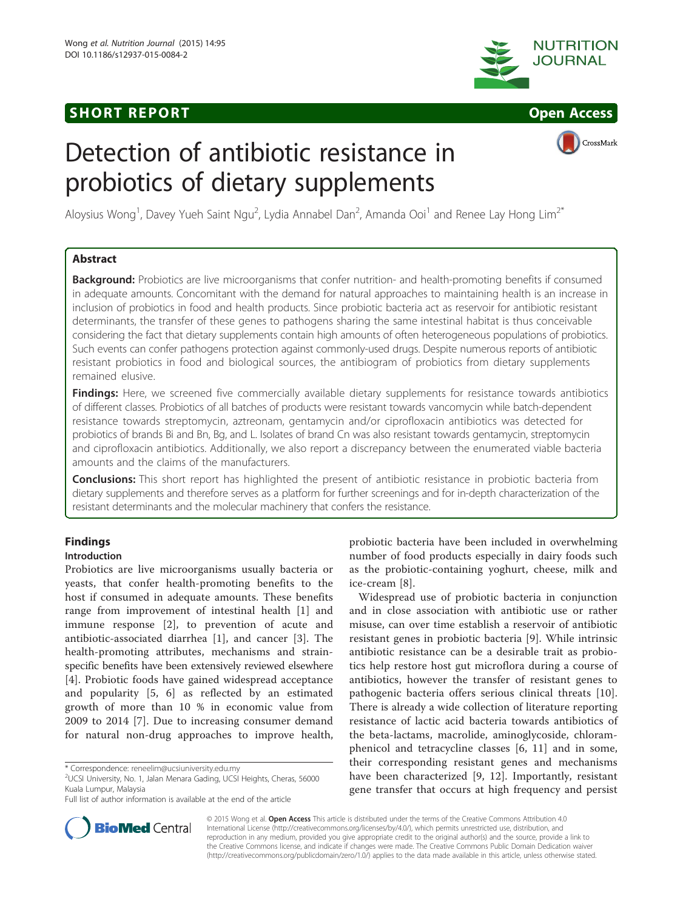# **SHORT REPORT SHORT CONSUMING THE SHORT CONSUMING THE SHORT CONSUMING THE SHORT CONSUMING THE SHORT CONSUMING THE SHORT CONSUMING THE SHORT CONSUMING THE SHORT CONSUMING THE SHORT CONSUMING THE SHORT CONSUMING THE SHORT**





# Detection of antibiotic resistance in probiotics of dietary supplements



Aloysius Wong<sup>1</sup>, Davey Yueh Saint Ngu<sup>2</sup>, Lydia Annabel Dan<sup>2</sup>, Amanda Ooi<sup>1</sup> and Renee Lay Hong Lim<sup>2\*</sup>

### Abstract

**Background:** Probiotics are live microorganisms that confer nutrition- and health-promoting benefits if consumed in adequate amounts. Concomitant with the demand for natural approaches to maintaining health is an increase in inclusion of probiotics in food and health products. Since probiotic bacteria act as reservoir for antibiotic resistant determinants, the transfer of these genes to pathogens sharing the same intestinal habitat is thus conceivable considering the fact that dietary supplements contain high amounts of often heterogeneous populations of probiotics. Such events can confer pathogens protection against commonly-used drugs. Despite numerous reports of antibiotic resistant probiotics in food and biological sources, the antibiogram of probiotics from dietary supplements remained elusive.

Findings: Here, we screened five commercially available dietary supplements for resistance towards antibiotics of different classes. Probiotics of all batches of products were resistant towards vancomycin while batch-dependent resistance towards streptomycin, aztreonam, gentamycin and/or ciprofloxacin antibiotics was detected for probiotics of brands Bi and Bn, Bg, and L. Isolates of brand Cn was also resistant towards gentamycin, streptomycin and ciprofloxacin antibiotics. Additionally, we also report a discrepancy between the enumerated viable bacteria amounts and the claims of the manufacturers.

**Conclusions:** This short report has highlighted the present of antibiotic resistance in probiotic bacteria from dietary supplements and therefore serves as a platform for further screenings and for in-depth characterization of the resistant determinants and the molecular machinery that confers the resistance.

## Findings

#### Introduction

Probiotics are live microorganisms usually bacteria or yeasts, that confer health-promoting benefits to the host if consumed in adequate amounts. These benefits range from improvement of intestinal health [[1\]](#page-4-0) and immune response [\[2](#page-4-0)], to prevention of acute and antibiotic-associated diarrhea [[1\]](#page-4-0), and cancer [[3](#page-4-0)]. The health-promoting attributes, mechanisms and strainspecific benefits have been extensively reviewed elsewhere [[4\]](#page-4-0). Probiotic foods have gained widespread acceptance and popularity [[5](#page-4-0), [6\]](#page-4-0) as reflected by an estimated growth of more than 10 % in economic value from 2009 to 2014 [\[7](#page-4-0)]. Due to increasing consumer demand for natural non-drug approaches to improve health,

probiotic bacteria have been included in overwhelming number of food products especially in dairy foods such as the probiotic-containing yoghurt, cheese, milk and ice-cream [[8\]](#page-4-0).

Widespread use of probiotic bacteria in conjunction and in close association with antibiotic use or rather misuse, can over time establish a reservoir of antibiotic resistant genes in probiotic bacteria [[9\]](#page-4-0). While intrinsic antibiotic resistance can be a desirable trait as probiotics help restore host gut microflora during a course of antibiotics, however the transfer of resistant genes to pathogenic bacteria offers serious clinical threats [\[10](#page-4-0)]. There is already a wide collection of literature reporting resistance of lactic acid bacteria towards antibiotics of the beta-lactams, macrolide, aminoglycoside, chloramphenicol and tetracycline classes [[6, 11](#page-4-0)] and in some, their corresponding resistant genes and mechanisms have been characterized [[9](#page-4-0), [12](#page-4-0)]. Importantly, resistant gene transfer that occurs at high frequency and persist



© 2015 Wong et al. Open Access This article is distributed under the terms of the Creative Commons Attribution 4.0 International License [\(http://creativecommons.org/licenses/by/4.0/](http://creativecommons.org/licenses/by/4.0/)), which permits unrestricted use, distribution, and reproduction in any medium, provided you give appropriate credit to the original author(s) and the source, provide a link to the Creative Commons license, and indicate if changes were made. The Creative Commons Public Domain Dedication waiver [\(http://creativecommons.org/publicdomain/zero/1.0/](http://creativecommons.org/publicdomain/zero/1.0/)) applies to the data made available in this article, unless otherwise stated.

<sup>\*</sup> Correspondence: [reneelim@ucsiuniversity.edu.my](mailto:reneelim@ucsiuniversity.edu.my) <sup>2</sup>

 $2^2$ UCSI University, No. 1, Jalan Menara Gading, UCSI Heights, Cheras, 56000 Kuala Lumpur, Malaysia

Full list of author information is available at the end of the article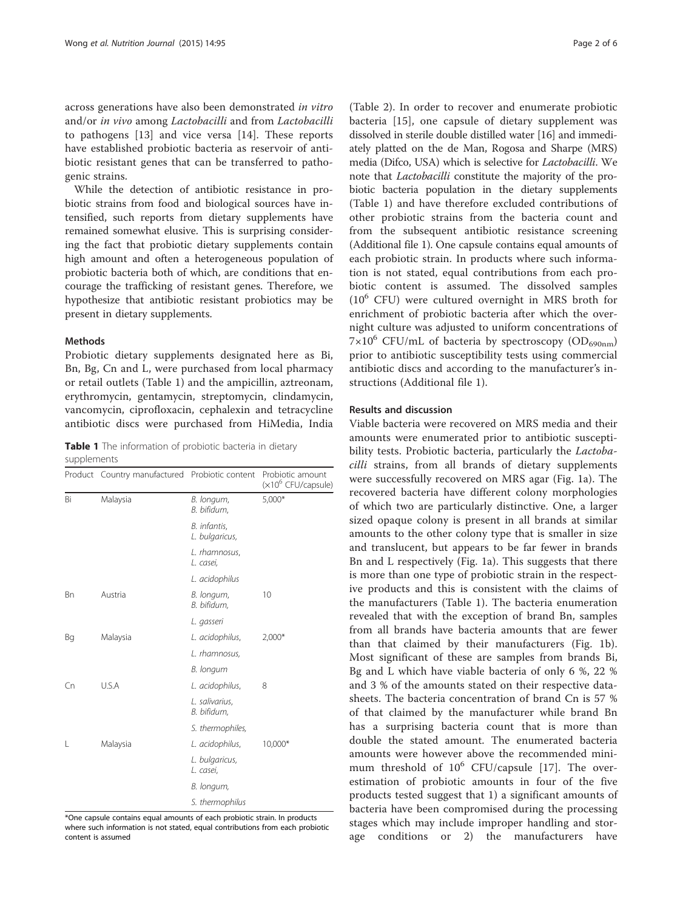<span id="page-1-0"></span>across generations have also been demonstrated in vitro and/or in vivo among Lactobacilli and from Lactobacilli to pathogens [[13\]](#page-4-0) and vice versa [\[14](#page-4-0)]. These reports have established probiotic bacteria as reservoir of antibiotic resistant genes that can be transferred to pathogenic strains.

While the detection of antibiotic resistance in probiotic strains from food and biological sources have intensified, such reports from dietary supplements have remained somewhat elusive. This is surprising considering the fact that probiotic dietary supplements contain high amount and often a heterogeneous population of probiotic bacteria both of which, are conditions that encourage the trafficking of resistant genes. Therefore, we hypothesize that antibiotic resistant probiotics may be present in dietary supplements.

#### **Mathods**

Probiotic dietary supplements designated here as Bi, Bn, Bg, Cn and L, were purchased from local pharmacy or retail outlets (Table 1) and the ampicillin, aztreonam, erythromycin, gentamycin, streptomycin, clindamycin, vancomycin, ciprofloxacin, cephalexin and tetracycline antibiotic discs were purchased from HiMedia, India

Table 1 The information of probiotic bacteria in dietary supplements

|           | Product Country manufactured Probiotic content |                                | Probiotic amount<br>(×10 <sup>6</sup> CFU/capsule) |
|-----------|------------------------------------------------|--------------------------------|----------------------------------------------------|
| Bi        | Malaysia                                       | B. longum,<br>B. bifidum,      | $5,000*$                                           |
|           |                                                | B. infantis,<br>L. bulgaricus, |                                                    |
|           |                                                | L. rhamnosus,<br>L. casei,     |                                                    |
|           |                                                | L. acidophilus                 |                                                    |
| <b>Bn</b> | Austria                                        | B. longum,<br>B. bifidum,      | 10                                                 |
|           |                                                | L. gasseri                     |                                                    |
| Bg        | Malaysia                                       | L. acidophilus,                | $2,000*$                                           |
|           |                                                | L. rhamnosus,                  |                                                    |
|           |                                                | B. longum                      |                                                    |
| Cn        | U.S.A                                          | L. acidophilus,                | 8                                                  |
|           |                                                | L. salivarius,<br>B. bifidum,  |                                                    |
|           |                                                | S. thermophiles,               |                                                    |
| L         | Malaysia                                       | L. acidophilus,                | 10,000*                                            |
|           |                                                | L. bulgaricus,<br>L. casei,    |                                                    |
|           |                                                | B. longum,                     |                                                    |
|           |                                                | S. thermophilus                |                                                    |

\*One capsule contains equal amounts of each probiotic strain. In products where such information is not stated, equal contributions from each probiotic content is assumed

(Table [2](#page-2-0)). In order to recover and enumerate probiotic bacteria [[15\]](#page-4-0), one capsule of dietary supplement was dissolved in sterile double distilled water [[16](#page-4-0)] and immediately platted on the de Man, Rogosa and Sharpe (MRS) media (Difco, USA) which is selective for Lactobacilli. We note that Lactobacilli constitute the majority of the probiotic bacteria population in the dietary supplements (Table 1) and have therefore excluded contributions of other probiotic strains from the bacteria count and from the subsequent antibiotic resistance screening (Additional file [1](#page-4-0)). One capsule contains equal amounts of each probiotic strain. In products where such information is not stated, equal contributions from each probiotic content is assumed. The dissolved samples  $(10^6$  CFU) were cultured overnight in MRS broth for enrichment of probiotic bacteria after which the overnight culture was adjusted to uniform concentrations of  $7\times10^6$  CFU/mL of bacteria by spectroscopy (OD<sub>690nm</sub>) prior to antibiotic susceptibility tests using commercial antibiotic discs and according to the manufacturer's instructions (Additional file [1\)](#page-4-0).

#### Results and discussion

Viable bacteria were recovered on MRS media and their amounts were enumerated prior to antibiotic susceptibility tests. Probiotic bacteria, particularly the *Lactoba*cilli strains, from all brands of dietary supplements were successfully recovered on MRS agar (Fig. [1a](#page-2-0)). The recovered bacteria have different colony morphologies of which two are particularly distinctive. One, a larger sized opaque colony is present in all brands at similar amounts to the other colony type that is smaller in size and translucent, but appears to be far fewer in brands Bn and L respectively (Fig. [1a\)](#page-2-0). This suggests that there is more than one type of probiotic strain in the respective products and this is consistent with the claims of the manufacturers (Table 1). The bacteria enumeration revealed that with the exception of brand Bn, samples from all brands have bacteria amounts that are fewer than that claimed by their manufacturers (Fig. [1b](#page-2-0)). Most significant of these are samples from brands Bi, Bg and L which have viable bacteria of only 6 %, 22 % and 3 % of the amounts stated on their respective datasheets. The bacteria concentration of brand Cn is 57 % of that claimed by the manufacturer while brand Bn has a surprising bacteria count that is more than double the stated amount. The enumerated bacteria amounts were however above the recommended minimum threshold of  $10^6$  CFU/capsule [[17\]](#page-4-0). The overestimation of probiotic amounts in four of the five products tested suggest that 1) a significant amounts of bacteria have been compromised during the processing stages which may include improper handling and storage conditions or 2) the manufacturers have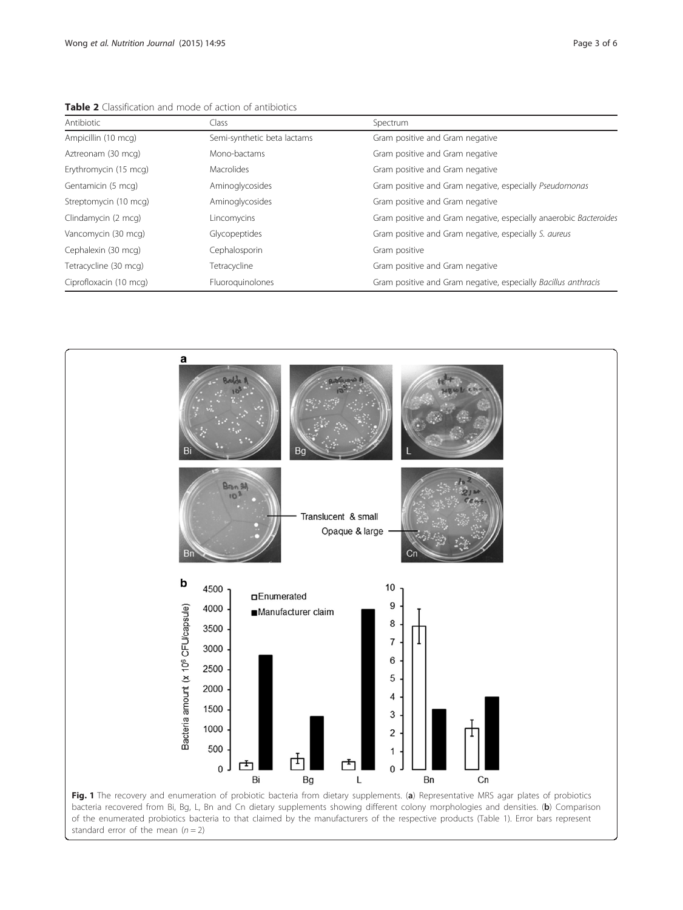| Antibiotic             | Class                       | Spectrum                                                          |
|------------------------|-----------------------------|-------------------------------------------------------------------|
| Ampicillin (10 mcg)    | Semi-synthetic beta lactams | Gram positive and Gram negative                                   |
| Aztreonam (30 mcg)     | Mono-bactams                | Gram positive and Gram negative                                   |
| Erythromycin (15 mcg)  | <b>Macrolides</b>           | Gram positive and Gram negative                                   |
| Gentamicin (5 mcg)     | Aminoglycosides             | Gram positive and Gram negative, especially Pseudomonas           |
| Streptomycin (10 mcg)  | Aminoglycosides             | Gram positive and Gram negative                                   |
| Clindamycin (2 mcg)    | Lincomycins                 | Gram positive and Gram negative, especially anaerobic Bacteroides |
| Vancomycin (30 mcg)    | Glycopeptides               | Gram positive and Gram negative, especially S. aureus             |
| Cephalexin (30 mcg)    | Cephalosporin               | Gram positive                                                     |
| Tetracycline (30 mcg)  | Tetracycline                | Gram positive and Gram negative                                   |
| Ciprofloxacin (10 mcg) | Fluoroguinolones            | Gram positive and Gram negative, especially Bacillus anthracis    |

<span id="page-2-0"></span>Table 2 Classification and mode of action of antibiotics

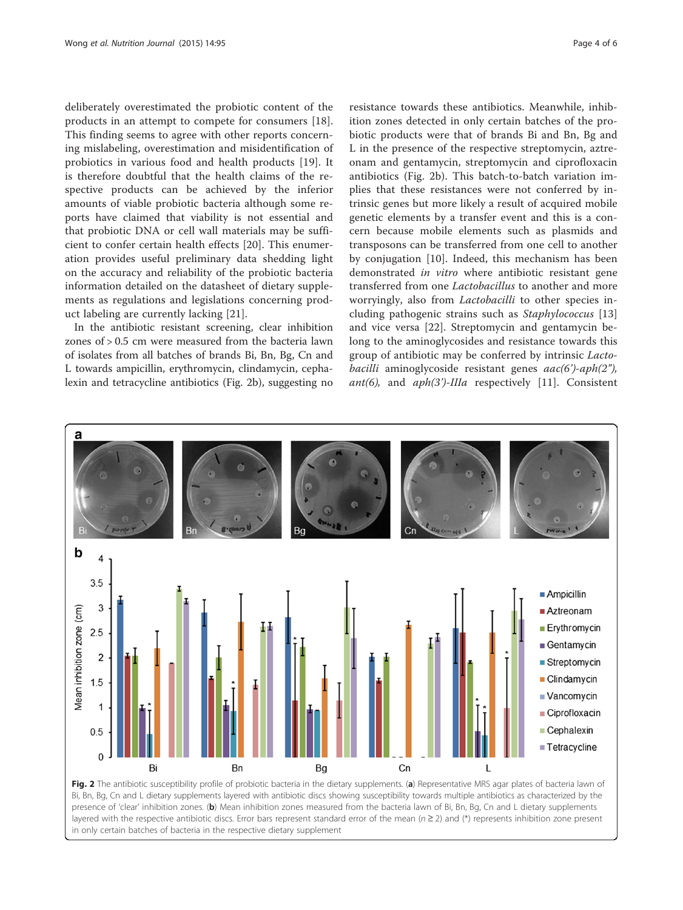<span id="page-3-0"></span>deliberately overestimated the probiotic content of the products in an attempt to compete for consumers [\[18](#page-5-0)]. This finding seems to agree with other reports concerning mislabeling, overestimation and misidentification of probiotics in various food and health products [\[19](#page-5-0)]. It is therefore doubtful that the health claims of the respective products can be achieved by the inferior amounts of viable probiotic bacteria although some reports have claimed that viability is not essential and that probiotic DNA or cell wall materials may be sufficient to confer certain health effects [[20](#page-5-0)]. This enumeration provides useful preliminary data shedding light on the accuracy and reliability of the probiotic bacteria information detailed on the datasheet of dietary supplements as regulations and legislations concerning product labeling are currently lacking [\[21\]](#page-5-0).

In the antibiotic resistant screening, clear inhibition zones of > 0.5 cm were measured from the bacteria lawn of isolates from all batches of brands Bi, Bn, Bg, Cn and L towards ampicillin, erythromycin, clindamycin, cephalexin and tetracycline antibiotics (Fig. 2b), suggesting no

resistance towards these antibiotics. Meanwhile, inhibition zones detected in only certain batches of the probiotic products were that of brands Bi and Bn, Bg and L in the presence of the respective streptomycin, aztreonam and gentamycin, streptomycin and ciprofloxacin antibiotics (Fig. 2b). This batch-to-batch variation implies that these resistances were not conferred by intrinsic genes but more likely a result of acquired mobile genetic elements by a transfer event and this is a concern because mobile elements such as plasmids and transposons can be transferred from one cell to another by conjugation [\[10](#page-4-0)]. Indeed, this mechanism has been demonstrated in vitro where antibiotic resistant gene transferred from one Lactobacillus to another and more worryingly, also from *Lactobacilli* to other species including pathogenic strains such as Staphylococcus [\[13](#page-4-0)] and vice versa [[22\]](#page-5-0). Streptomycin and gentamycin belong to the aminoglycosides and resistance towards this group of antibiotic may be conferred by intrinsic Lactobacilli aminoglycoside resistant genes  $aac(6')-aph(2'')$ , ant(6), and  $aph(3')$ -IIIa respectively [\[11](#page-4-0)]. Consistent



Bi, Bn, Bg, Cn and L dietary supplements layered with antibiotic discs showing susceptibility towards multiple antibiotics as characterized by the presence of 'clear' inhibition zones. (b) Mean inhibition zones measured from the bacteria lawn of Bi, Bn, Bg, Cn and L dietary supplements layered with the respective antibiotic discs. Error bars represent standard error of the mean ( $n \geq 2$ ) and (\*) represents inhibition zone present in only certain batches of bacteria in the respective dietary supplement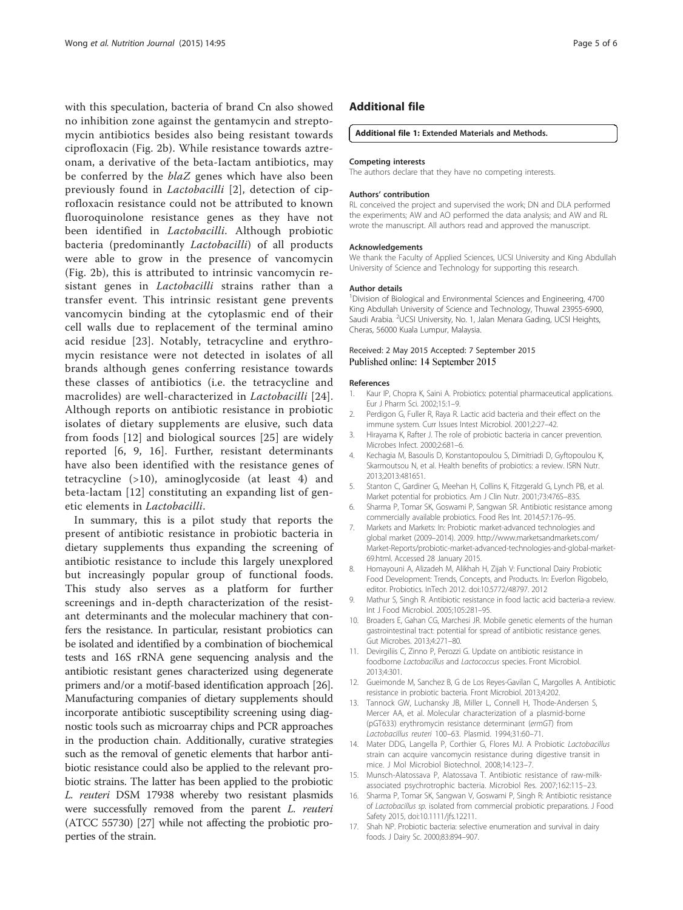<span id="page-4-0"></span>with this speculation, bacteria of brand Cn also showed no inhibition zone against the gentamycin and streptomycin antibiotics besides also being resistant towards ciprofloxacin (Fig. [2b](#page-3-0)). While resistance towards aztreonam, a derivative of the beta-Iactam antibiotics, may be conferred by the *blaZ* genes which have also been previously found in Lactobacilli [2], detection of ciprofloxacin resistance could not be attributed to known fluoroquinolone resistance genes as they have not been identified in Lactobacilli. Although probiotic bacteria (predominantly Lactobacilli) of all products were able to grow in the presence of vancomycin (Fig. [2b](#page-3-0)), this is attributed to intrinsic vancomycin resistant genes in *Lactobacilli* strains rather than a transfer event. This intrinsic resistant gene prevents vancomycin binding at the cytoplasmic end of their cell walls due to replacement of the terminal amino acid residue [\[23\]](#page-5-0). Notably, tetracycline and erythromycin resistance were not detected in isolates of all brands although genes conferring resistance towards these classes of antibiotics (i.e. the tetracycline and macrolides) are well-characterized in Lactobacilli [[24](#page-5-0)]. Although reports on antibiotic resistance in probiotic isolates of dietary supplements are elusive, such data from foods [12] and biological sources [[25](#page-5-0)] are widely reported [6, 9, 16]. Further, resistant determinants have also been identified with the resistance genes of tetracycline (>10), aminoglycoside (at least 4) and beta-lactam [12] constituting an expanding list of genetic elements in Lactobacilli.

In summary, this is a pilot study that reports the present of antibiotic resistance in probiotic bacteria in dietary supplements thus expanding the screening of antibiotic resistance to include this largely unexplored but increasingly popular group of functional foods. This study also serves as a platform for further screenings and in-depth characterization of the resistant determinants and the molecular machinery that confers the resistance. In particular, resistant probiotics can be isolated and identified by a combination of biochemical tests and 16S rRNA gene sequencing analysis and the antibiotic resistant genes characterized using degenerate primers and/or a motif-based identification approach [[26](#page-5-0)]. Manufacturing companies of dietary supplements should incorporate antibiotic susceptibility screening using diagnostic tools such as microarray chips and PCR approaches in the production chain. Additionally, curative strategies such as the removal of genetic elements that harbor antibiotic resistance could also be applied to the relevant probiotic strains. The latter has been applied to the probiotic L. reuteri DSM 17938 whereby two resistant plasmids were successfully removed from the parent L. reuteri (ATCC 55730) [[27](#page-5-0)] while not affecting the probiotic properties of the strain.

#### Additional file

#### [Additional file 1:](http://www.nutritionj.com/content/supplementary/s12937-015-0084-2-s1.docx) Extended Materials and Methods.

#### Competing interests

The authors declare that they have no competing interests.

#### Authors' contribution

RL conceived the project and supervised the work; DN and DLA performed the experiments; AW and AO performed the data analysis; and AW and RL wrote the manuscript. All authors read and approved the manuscript.

#### Acknowledgements

We thank the Faculty of Applied Sciences, UCSI University and King Abdullah University of Science and Technology for supporting this research.

#### Author details

<sup>1</sup> Division of Biological and Environmental Sciences and Engineering, 4700 King Abdullah University of Science and Technology, Thuwal 23955-6900, Saudi Arabia. <sup>2</sup>UCSI University, No. 1, Jalan Menara Gading, UCSI Heights Cheras, 56000 Kuala Lumpur, Malaysia.

# Received: 2 May 2015 Accepted: 7 September 2015<br>Published online: 14 September 2015

#### References

- Kaur IP, Chopra K, Saini A. Probiotics: potential pharmaceutical applications. Eur J Pharm Sci. 2002;15:1–9.
- 2. Perdigon G, Fuller R, Raya R. Lactic acid bacteria and their effect on the immune system. Curr Issues Intest Microbiol. 2001;2:27–42.
- 3. Hirayama K, Rafter J. The role of probiotic bacteria in cancer prevention. Microbes Infect. 2000;2:681–6.
- 4. Kechagia M, Basoulis D, Konstantopoulou S, Dimitriadi D, Gyftopoulou K, Skarmoutsou N, et al. Health benefits of probiotics: a review. ISRN Nutr. 2013;2013:481651.
- 5. Stanton C, Gardiner G, Meehan H, Collins K, Fitzgerald G, Lynch PB, et al. Market potential for probiotics. Am J Clin Nutr. 2001;73:476S–83S.
- 6. Sharma P, Tomar SK, Goswami P, Sangwan SR. Antibiotic resistance among commercially available probiotics. Food Res Int. 2014;57:176–95.
- 7. Markets and Markets: In: Probiotic market-advanced technologies and global market (2009–2014). 2009. [http://www.marketsandmarkets.com/](http://www.marketsandmarkets.com/Market-Reports/probiotic-market-advanced-technologies-and-global-market-69.html) [Market-Reports/probiotic-market-advanced-technologies-and-global-market-](http://www.marketsandmarkets.com/Market-Reports/probiotic-market-advanced-technologies-and-global-market-69.html)[69.html.](http://www.marketsandmarkets.com/Market-Reports/probiotic-market-advanced-technologies-and-global-market-69.html) Accessed 28 January 2015.
- 8. Homayouni A, Alizadeh M, Alikhah H, Zijah V: Functional Dairy Probiotic Food Development: Trends, Concepts, and Products. In: Everlon Rigobelo, editor. Probiotics. InTech 2012. doi[:10.5772/48797](http://dx.doi.org/10.5772/48797). 2012
- 9. Mathur S, Singh R. Antibiotic resistance in food lactic acid bacteria-a review. Int J Food Microbiol. 2005;105:281–95.
- 10. Broaders E, Gahan CG, Marchesi JR. Mobile genetic elements of the human gastrointestinal tract: potential for spread of antibiotic resistance genes. Gut Microbes. 2013;4:271–80.
- 11. Devirgiliis C, Zinno P, Perozzi G. Update on antibiotic resistance in foodborne Lactobacillus and Lactococcus species. Front Microbiol. 2013;4:301.
- 12. Gueimonde M, Sanchez B, G de Los Reyes-Gavilan C, Margolles A. Antibiotic resistance in probiotic bacteria. Front Microbiol. 2013;4:202.
- 13. Tannock GW, Luchansky JB, Miller L, Connell H, Thode-Andersen S, Mercer AA, et al. Molecular characterization of a plasmid-borne (pGT633) erythromycin resistance determinant (ermGT) from Lactobacillus reuteri 100–63. Plasmid. 1994;31:60–71.
- 14. Mater DDG, Langella P, Corthier G, Flores MJ. A Probiotic Lactobacillus strain can acquire vancomycin resistance during digestive transit in mice. J Mol Microbiol Biotechnol. 2008;14:123–7.
- 15. Munsch-Alatossava P, Alatossava T. Antibiotic resistance of raw-milkassociated psychrotrophic bacteria. Microbiol Res. 2007;162:115–23.
- 16. Sharma P, Tomar SK, Sangwan V, Goswami P, Singh R: Antibiotic resistance of Lactobacillus sp. isolated from commercial probiotic preparations. J Food Safety 2015, doi[:10.1111/jfs.12211](http://dx.doi.org/10.1111/jfs.12211).
- 17. Shah NP. Probiotic bacteria: selective enumeration and survival in dairy foods. J Dairy Sc. 2000;83:894–907.